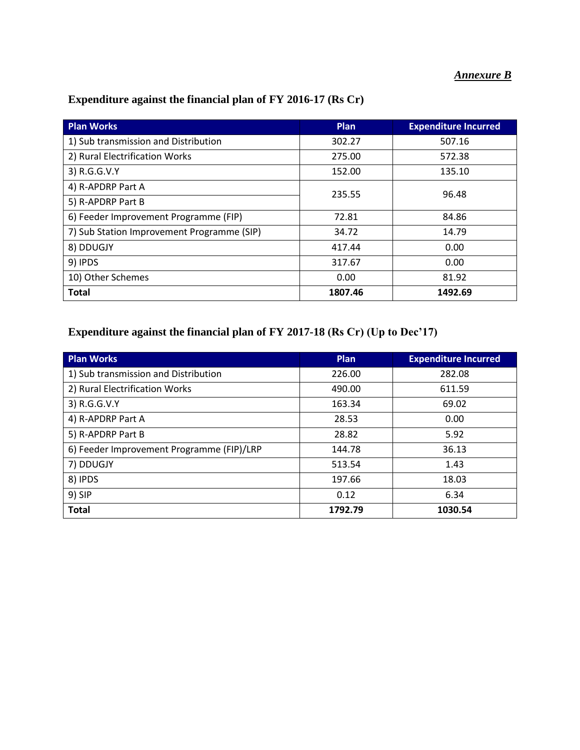### *Annexure B*

| <b>Plan Works</b>                          | <b>Plan</b> | <b>Expenditure Incurred</b> |
|--------------------------------------------|-------------|-----------------------------|
| 1) Sub transmission and Distribution       | 302.27      | 507.16                      |
| 2) Rural Electrification Works             | 275.00      | 572.38                      |
| 3) R.G.G.V.Y                               | 152.00      | 135.10                      |
| 4) R-APDRP Part A                          | 235.55      | 96.48                       |
| 5) R-APDRP Part B                          |             |                             |
| 6) Feeder Improvement Programme (FIP)      | 72.81       | 84.86                       |
| 7) Sub Station Improvement Programme (SIP) | 34.72       | 14.79                       |
| 8) DDUGJY                                  | 417.44      | 0.00                        |
| 9) IPDS                                    | 317.67      | 0.00                        |
| 10) Other Schemes                          | 0.00        | 81.92                       |
| <b>Total</b>                               | 1807.46     | 1492.69                     |

### **Expenditure against the financial plan of FY 2016-17 (Rs Cr)**

### **Expenditure against the financial plan of FY 2017-18 (Rs Cr) (Up to Dec'17)**

| <b>Plan Works</b>                         | Plan    | <b>Expenditure Incurred</b> |
|-------------------------------------------|---------|-----------------------------|
| 1) Sub transmission and Distribution      | 226.00  | 282.08                      |
| 2) Rural Electrification Works            | 490.00  | 611.59                      |
| 3) R.G.G.V.Y                              | 163.34  | 69.02                       |
| 4) R-APDRP Part A                         | 28.53   | 0.00                        |
| 5) R-APDRP Part B                         | 28.82   | 5.92                        |
| 6) Feeder Improvement Programme (FIP)/LRP | 144.78  | 36.13                       |
| 7) DDUGJY                                 | 513.54  | 1.43                        |
| 8) IPDS                                   | 197.66  | 18.03                       |
| 9) SIP                                    | 0.12    | 6.34                        |
| <b>Total</b>                              | 1792.79 | 1030.54                     |